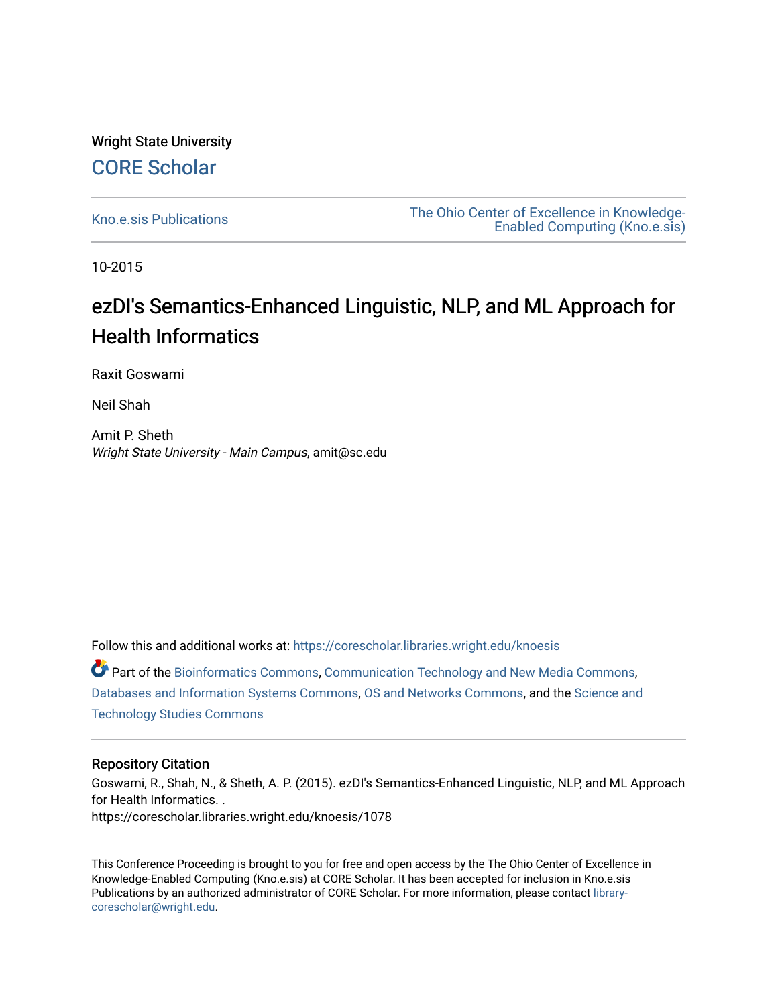# Wright State University [CORE Scholar](https://corescholar.libraries.wright.edu/)

[Kno.e.sis Publications](https://corescholar.libraries.wright.edu/knoesis) [The Ohio Center of Excellence in Knowledge-](https://corescholar.libraries.wright.edu/knoesis_comm)[Enabled Computing \(Kno.e.sis\)](https://corescholar.libraries.wright.edu/knoesis_comm) 

10-2015

# ezDI's Semantics-Enhanced Linguistic, NLP, and ML Approach for Health Informatics

Raxit Goswami

Neil Shah

Amit P. Sheth Wright State University - Main Campus, amit@sc.edu

Follow this and additional works at: [https://corescholar.libraries.wright.edu/knoesis](https://corescholar.libraries.wright.edu/knoesis?utm_source=corescholar.libraries.wright.edu%2Fknoesis%2F1078&utm_medium=PDF&utm_campaign=PDFCoverPages) 

Part of the [Bioinformatics Commons,](http://network.bepress.com/hgg/discipline/110?utm_source=corescholar.libraries.wright.edu%2Fknoesis%2F1078&utm_medium=PDF&utm_campaign=PDFCoverPages) [Communication Technology and New Media Commons,](http://network.bepress.com/hgg/discipline/327?utm_source=corescholar.libraries.wright.edu%2Fknoesis%2F1078&utm_medium=PDF&utm_campaign=PDFCoverPages) [Databases and Information Systems Commons](http://network.bepress.com/hgg/discipline/145?utm_source=corescholar.libraries.wright.edu%2Fknoesis%2F1078&utm_medium=PDF&utm_campaign=PDFCoverPages), [OS and Networks Commons](http://network.bepress.com/hgg/discipline/149?utm_source=corescholar.libraries.wright.edu%2Fknoesis%2F1078&utm_medium=PDF&utm_campaign=PDFCoverPages), and the [Science and](http://network.bepress.com/hgg/discipline/435?utm_source=corescholar.libraries.wright.edu%2Fknoesis%2F1078&utm_medium=PDF&utm_campaign=PDFCoverPages) [Technology Studies Commons](http://network.bepress.com/hgg/discipline/435?utm_source=corescholar.libraries.wright.edu%2Fknoesis%2F1078&utm_medium=PDF&utm_campaign=PDFCoverPages) 

#### Repository Citation

Goswami, R., Shah, N., & Sheth, A. P. (2015). ezDI's Semantics-Enhanced Linguistic, NLP, and ML Approach for Health Informatics. . https://corescholar.libraries.wright.edu/knoesis/1078

This Conference Proceeding is brought to you for free and open access by the The Ohio Center of Excellence in Knowledge-Enabled Computing (Kno.e.sis) at CORE Scholar. It has been accepted for inclusion in Kno.e.sis Publications by an authorized administrator of CORE Scholar. For more information, please contact [library](mailto:library-corescholar@wright.edu)[corescholar@wright.edu](mailto:library-corescholar@wright.edu).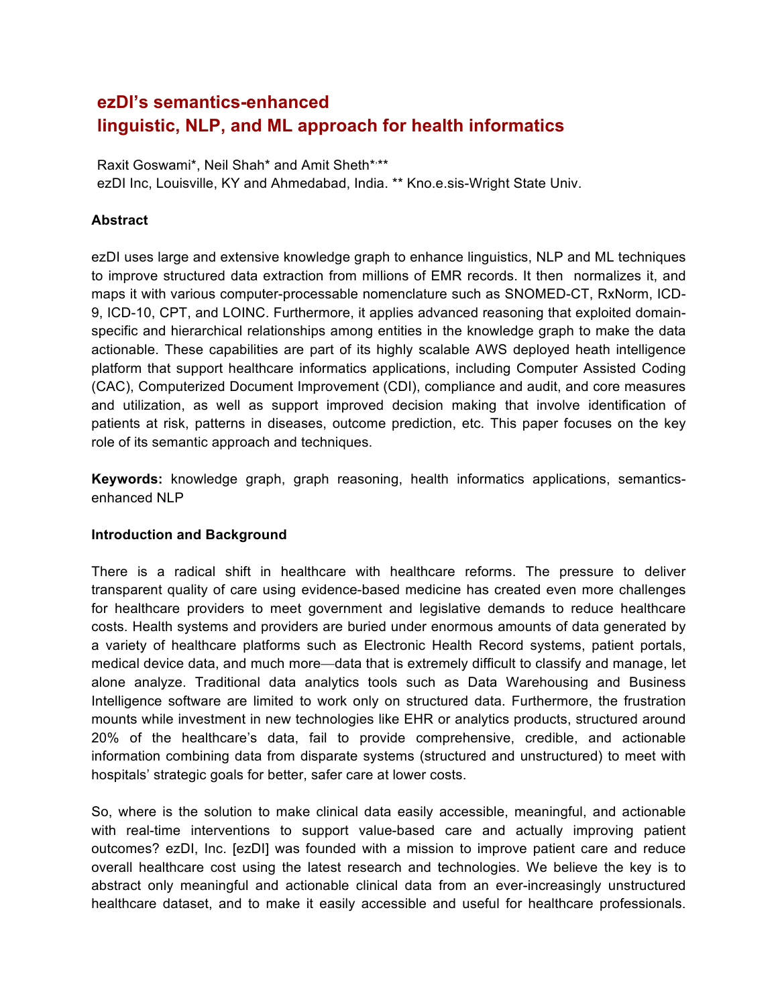# **ezDI's semantics-enhanced linguistic, NLP, and ML approach for health informatics**

Raxit Goswami\*, Neil Shah\* and Amit Sheth\*,\*\* ezDI Inc, Louisville, KY and Ahmedabad, India. \*\* Kno.e.sis-Wright State Univ.

#### **Abstract**

ezDI uses large and extensive knowledge graph to enhance linguistics, NLP and ML techniques to improve structured data extraction from millions of EMR records. It then normalizes it, and maps it with various computer-processable nomenclature such as SNOMED-CT, RxNorm, ICD-9, ICD-10, CPT, and LOINC. Furthermore, it applies advanced reasoning that exploited domainspecific and hierarchical relationships among entities in the knowledge graph to make the data actionable. These capabilities are part of its highly scalable AWS deployed heath intelligence platform that support healthcare informatics applications, including Computer Assisted Coding (CAC), Computerized Document Improvement (CDI), compliance and audit, and core measures and utilization, as well as support improved decision making that involve identification of patients at risk, patterns in diseases, outcome prediction, etc. This paper focuses on the key role of its semantic approach and techniques.

**Keywords:** knowledge graph, graph reasoning, health informatics applications, semanticsenhanced NLP

#### **Introduction and Background**

There is a radical shift in healthcare with healthcare reforms. The pressure to deliver transparent quality of care using evidence-based medicine has created even more challenges for healthcare providers to meet government and legislative demands to reduce healthcare costs. Health systems and providers are buried under enormous amounts of data generated by a variety of healthcare platforms such as Electronic Health Record systems, patient portals, medical device data, and much more—data that is extremely difficult to classify and manage, let alone analyze. Traditional data analytics tools such as Data Warehousing and Business Intelligence software are limited to work only on structured data. Furthermore, the frustration mounts while investment in new technologies like EHR or analytics products, structured around 20% of the healthcare's data, fail to provide comprehensive, credible, and actionable information combining data from disparate systems (structured and unstructured) to meet with hospitals' strategic goals for better, safer care at lower costs.

So, where is the solution to make clinical data easily accessible, meaningful, and actionable with real-time interventions to support value-based care and actually improving patient outcomes? ezDI, Inc. [ezDI] was founded with a mission to improve patient care and reduce overall healthcare cost using the latest research and technologies. We believe the key is to abstract only meaningful and actionable clinical data from an ever-increasingly unstructured healthcare dataset, and to make it easily accessible and useful for healthcare professionals.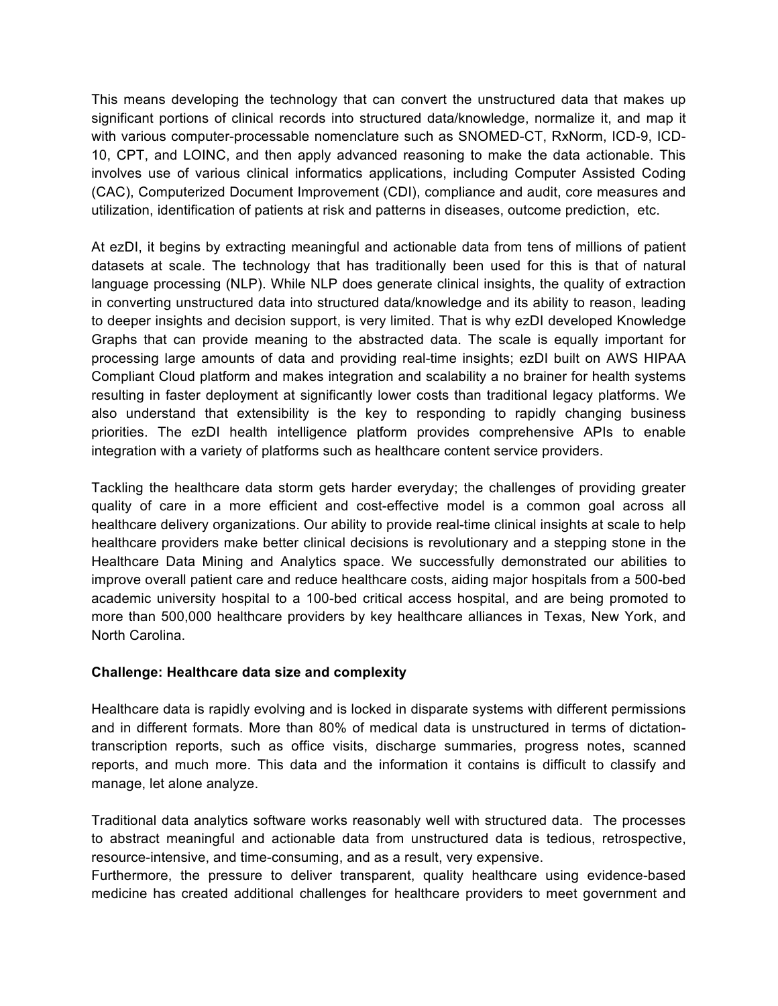This means developing the technology that can convert the unstructured data that makes up significant portions of clinical records into structured data/knowledge, normalize it, and map it with various computer-processable nomenclature such as SNOMED-CT, RxNorm, ICD-9, ICD-10, CPT, and LOINC, and then apply advanced reasoning to make the data actionable. This involves use of various clinical informatics applications, including Computer Assisted Coding (CAC), Computerized Document Improvement (CDI), compliance and audit, core measures and utilization, identification of patients at risk and patterns in diseases, outcome prediction, etc.

At ezDI, it begins by extracting meaningful and actionable data from tens of millions of patient datasets at scale. The technology that has traditionally been used for this is that of natural language processing (NLP). While NLP does generate clinical insights, the quality of extraction in converting unstructured data into structured data/knowledge and its ability to reason, leading to deeper insights and decision support, is very limited. That is why ezDI developed Knowledge Graphs that can provide meaning to the abstracted data. The scale is equally important for processing large amounts of data and providing real-time insights; ezDI built on AWS HIPAA Compliant Cloud platform and makes integration and scalability a no brainer for health systems resulting in faster deployment at significantly lower costs than traditional legacy platforms. We also understand that extensibility is the key to responding to rapidly changing business priorities. The ezDI health intelligence platform provides comprehensive APIs to enable integration with a variety of platforms such as healthcare content service providers.

Tackling the healthcare data storm gets harder everyday; the challenges of providing greater quality of care in a more efficient and cost-effective model is a common goal across all healthcare delivery organizations. Our ability to provide real-time clinical insights at scale to help healthcare providers make better clinical decisions is revolutionary and a stepping stone in the Healthcare Data Mining and Analytics space. We successfully demonstrated our abilities to improve overall patient care and reduce healthcare costs, aiding major hospitals from a 500-bed academic university hospital to a 100-bed critical access hospital, and are being promoted to more than 500,000 healthcare providers by key healthcare alliances in Texas, New York, and North Carolina.

#### **Challenge: Healthcare data size and complexity**

Healthcare data is rapidly evolving and is locked in disparate systems with different permissions and in different formats. More than 80% of medical data is unstructured in terms of dictationtranscription reports, such as office visits, discharge summaries, progress notes, scanned reports, and much more. This data and the information it contains is difficult to classify and manage, let alone analyze.

Traditional data analytics software works reasonably well with structured data. The processes to abstract meaningful and actionable data from unstructured data is tedious, retrospective, resource-intensive, and time-consuming, and as a result, very expensive.

Furthermore, the pressure to deliver transparent, quality healthcare using evidence-based medicine has created additional challenges for healthcare providers to meet government and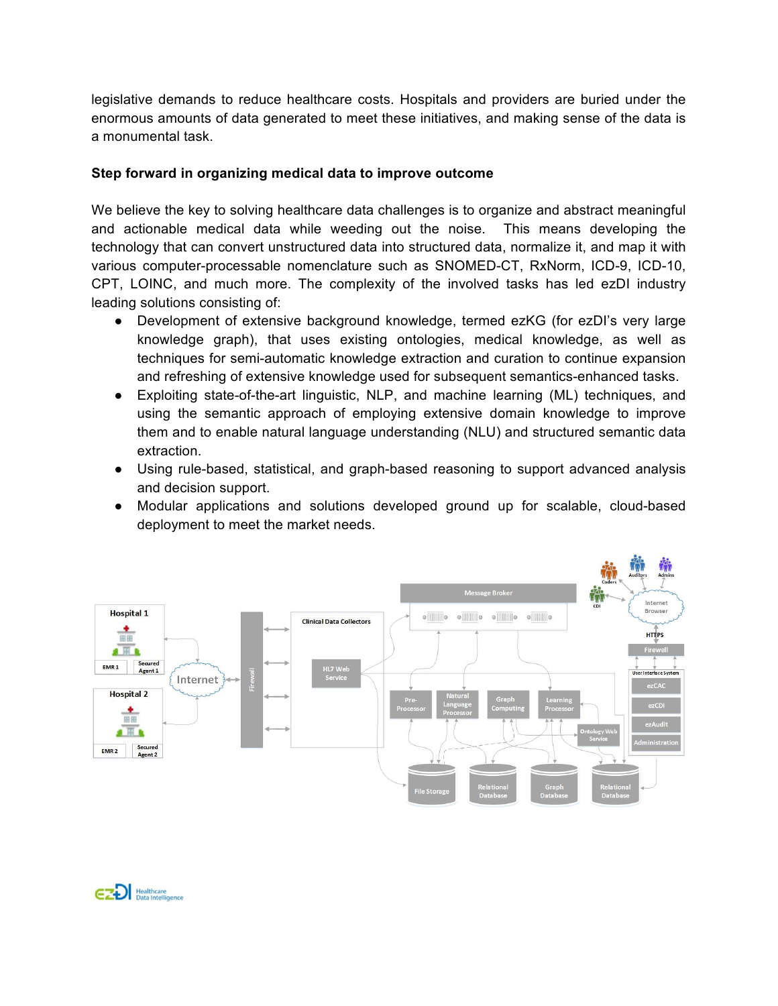legislative demands to reduce healthcare costs. Hospitals and providers are buried under the enormous amounts of data generated to meet these initiatives, and making sense of the data is a monumental task.

### **Step forward in organizing medical data to improve outcome**

We believe the key to solving healthcare data challenges is to organize and abstract meaningful and actionable medical data while weeding out the noise. This means developing the technology that can convert unstructured data into structured data, normalize it, and map it with various computer-processable nomenclature such as SNOMED-CT, RxNorm, ICD-9, ICD-10, CPT, LOINC, and much more. The complexity of the involved tasks has led ezDI industry leading solutions consisting of:

- Development of extensive background knowledge, termed ezKG (for ezDI's very large knowledge graph), that uses existing ontologies, medical knowledge, as well as techniques for semi-automatic knowledge extraction and curation to continue expansion and refreshing of extensive knowledge used for subsequent semantics-enhanced tasks.
- Exploiting state-of-the-art linguistic, NLP, and machine learning (ML) techniques, and using the semantic approach of employing extensive domain knowledge to improve them and to enable natural language understanding (NLU) and structured semantic data extraction.
- Using rule-based, statistical, and graph-based reasoning to support advanced analysis and decision support.
- Modular applications and solutions developed ground up for scalable, cloud-based deployment to meet the market needs.

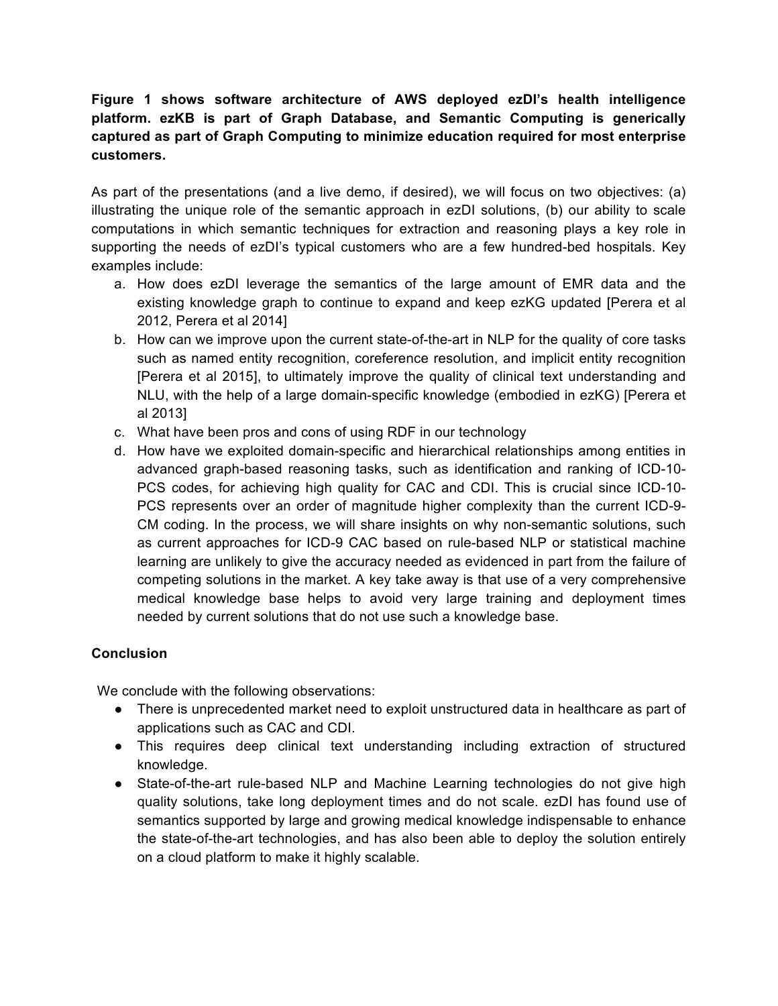## **Figure 1 shows software architecture of AWS deployed ezDI's health intelligence platform. ezKB is part of Graph Database, and Semantic Computing is generically captured as part of Graph Computing to minimize education required for most enterprise customers.**

As part of the presentations (and a live demo, if desired), we will focus on two objectives: (a) illustrating the unique role of the semantic approach in ezDI solutions, (b) our ability to scale computations in which semantic techniques for extraction and reasoning plays a key role in supporting the needs of ezDI's typical customers who are a few hundred-bed hospitals. Key examples include:

- a. How does ezDI leverage the semantics of the large amount of EMR data and the existing knowledge graph to continue to expand and keep ezKG updated [Perera et al 2012, Perera et al 2014]
- b. How can we improve upon the current state-of-the-art in NLP for the quality of core tasks such as named entity recognition, coreference resolution, and implicit entity recognition [Perera et al 2015], to ultimately improve the quality of clinical text understanding and NLU, with the help of a large domain-specific knowledge (embodied in ezKG) [Perera et al 2013]
- c. What have been pros and cons of using RDF in our technology
- d. How have we exploited domain-specific and hierarchical relationships among entities in advanced graph-based reasoning tasks, such as identification and ranking of ICD-10- PCS codes, for achieving high quality for CAC and CDI. This is crucial since ICD-10- PCS represents over an order of magnitude higher complexity than the current ICD-9- CM coding. In the process, we will share insights on why non-semantic solutions, such as current approaches for ICD-9 CAC based on rule-based NLP or statistical machine learning are unlikely to give the accuracy needed as evidenced in part from the failure of competing solutions in the market. A key take away is that use of a very comprehensive medical knowledge base helps to avoid very large training and deployment times needed by current solutions that do not use such a knowledge base.

## **Conclusion**

We conclude with the following observations:

- There is unprecedented market need to exploit unstructured data in healthcare as part of applications such as CAC and CDI.
- This requires deep clinical text understanding including extraction of structured knowledge.
- State-of-the-art rule-based NLP and Machine Learning technologies do not give high quality solutions, take long deployment times and do not scale. ezDI has found use of semantics supported by large and growing medical knowledge indispensable to enhance the state-of-the-art technologies, and has also been able to deploy the solution entirely on a cloud platform to make it highly scalable.